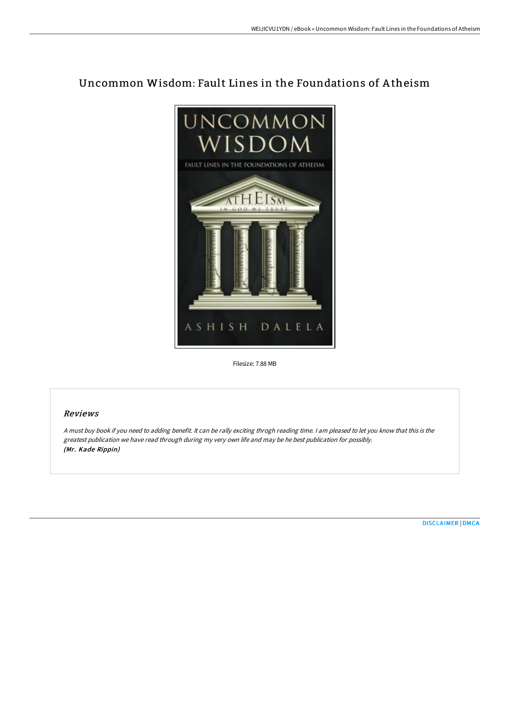# Uncommon Wisdom: Fault Lines in the Foundations of A theism



Filesize: 7.88 MB

### Reviews

<sup>A</sup> must buy book if you need to adding benefit. It can be rally exciting throgh reading time. <sup>I</sup> am pleased to let you know that this is the greatest publication we have read through during my very own life and may be he best publication for possibly. (Mr. Kade Rippin)

[DISCLAIMER](http://albedo.media/disclaimer.html) | [DMCA](http://albedo.media/dmca.html)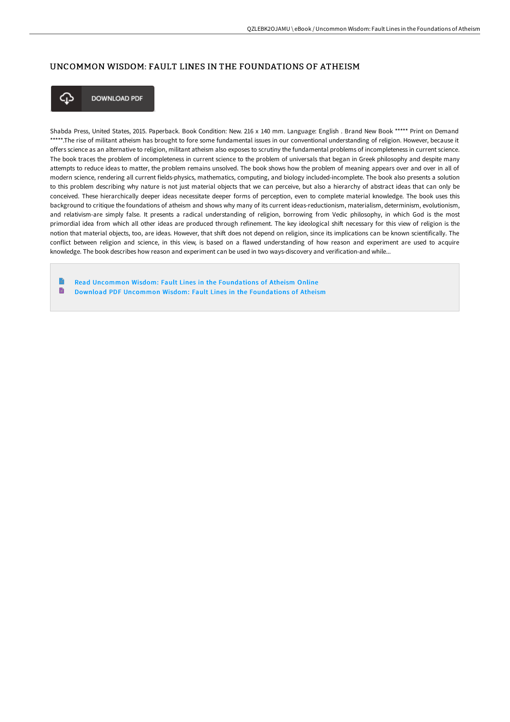# UNCOMMON WISDOM: FAULT LINES IN THE FOUNDATIONS OF ATHEISM



**DOWNLOAD PDF** 

Shabda Press, United States, 2015. Paperback. Book Condition: New. 216 x 140 mm. Language: English . Brand New Book \*\*\*\*\* Print on Demand \*\*\*\*\*.The rise of militant atheism has brought to fore some fundamental issues in our conventional understanding of religion. However, because it offers science as an alternative to religion, militant atheism also exposes to scrutiny the fundamental problems of incompleteness in current science. The book traces the problem of incompleteness in current science to the problem of universals that began in Greek philosophy and despite many attempts to reduce ideas to matter, the problem remains unsolved. The book shows how the problem of meaning appears over and over in all of modern science, rendering all current fields-physics, mathematics, computing, and biology included-incomplete. The book also presents a solution to this problem describing why nature is not just material objects that we can perceive, but also a hierarchy of abstract ideas that can only be conceived. These hierarchically deeper ideas necessitate deeper forms of perception, even to complete material knowledge. The book uses this background to critique the foundations of atheism and shows why many of its current ideas-reductionism, materialism, determinism, evolutionism, and relativism-are simply false. It presents a radical understanding of religion, borrowing from Vedic philosophy, in which God is the most primordial idea from which all other ideas are produced through refinement. The key ideological shift necessary for this view of religion is the notion that material objects, too, are ideas. However, that shift does not depend on religion, since its implications can be known scientifically. The conflict between religion and science, in this view, is based on a flawed understanding of how reason and experiment are used to acquire knowledge. The book describes how reason and experiment can be used in two ways-discovery and verification-and while...

Read Uncommon Wisdom: Fault Lines in the [Foundations](http://albedo.media/uncommon-wisdom-fault-lines-in-the-foundations-o.html) of Atheism Online B Download PDF Uncommon Wisdom: Fault Lines in the [Foundations](http://albedo.media/uncommon-wisdom-fault-lines-in-the-foundations-o.html) of Atheism